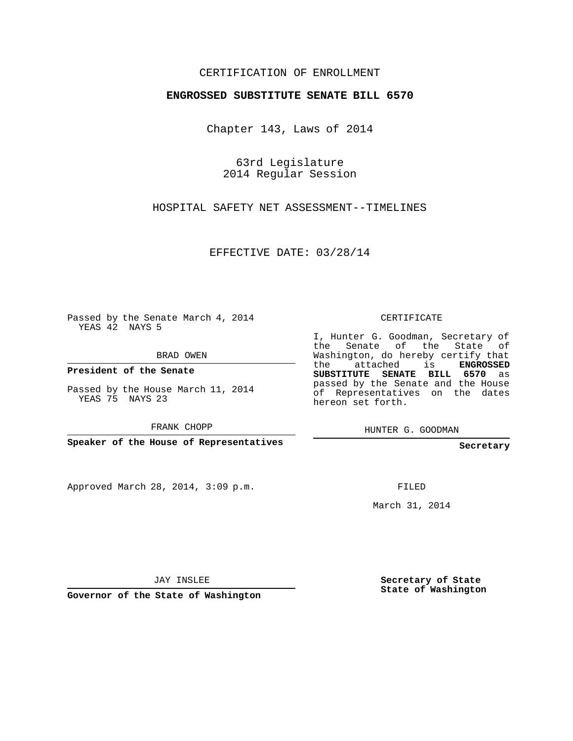## CERTIFICATION OF ENROLLMENT

## **ENGROSSED SUBSTITUTE SENATE BILL 6570**

Chapter 143, Laws of 2014

63rd Legislature 2014 Regular Session

HOSPITAL SAFETY NET ASSESSMENT--TIMELINES

EFFECTIVE DATE: 03/28/14

Passed by the Senate March 4, 2014 YEAS 42 NAYS 5

BRAD OWEN

**President of the Senate**

Passed by the House March 11, 2014 YEAS 75 NAYS 23

FRANK CHOPP

**Speaker of the House of Representatives**

Approved March 28, 2014, 3:09 p.m.

CERTIFICATE

I, Hunter G. Goodman, Secretary of the Senate of the State of Washington, do hereby certify that the attached is **ENGROSSED SUBSTITUTE SENATE BILL 6570** as passed by the Senate and the House of Representatives on the dates hereon set forth.

HUNTER G. GOODMAN

**Secretary**

FILED

March 31, 2014

JAY INSLEE

**Governor of the State of Washington**

**Secretary of State State of Washington**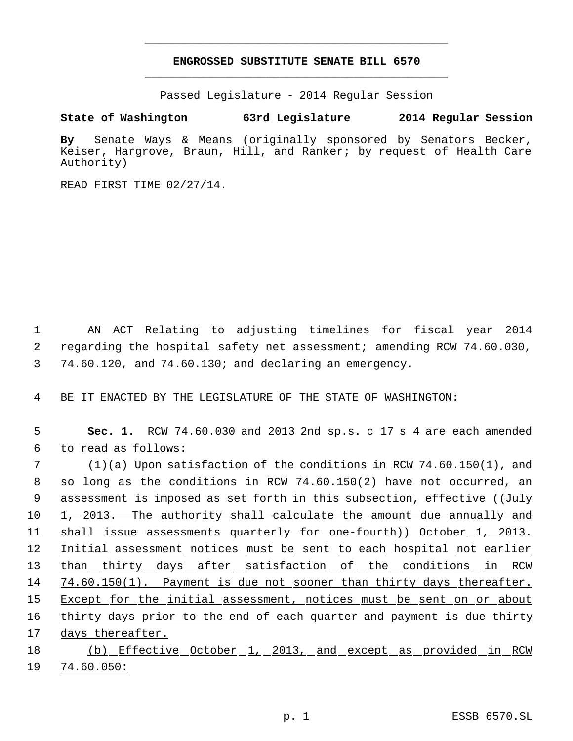## **ENGROSSED SUBSTITUTE SENATE BILL 6570** \_\_\_\_\_\_\_\_\_\_\_\_\_\_\_\_\_\_\_\_\_\_\_\_\_\_\_\_\_\_\_\_\_\_\_\_\_\_\_\_\_\_\_\_\_

\_\_\_\_\_\_\_\_\_\_\_\_\_\_\_\_\_\_\_\_\_\_\_\_\_\_\_\_\_\_\_\_\_\_\_\_\_\_\_\_\_\_\_\_\_

Passed Legislature - 2014 Regular Session

## **State of Washington 63rd Legislature 2014 Regular Session**

**By** Senate Ways & Means (originally sponsored by Senators Becker, Keiser, Hargrove, Braun, Hill, and Ranker; by request of Health Care Authority)

READ FIRST TIME 02/27/14.

 1 AN ACT Relating to adjusting timelines for fiscal year 2014 2 regarding the hospital safety net assessment; amending RCW 74.60.030, 3 74.60.120, and 74.60.130; and declaring an emergency.

4 BE IT ENACTED BY THE LEGISLATURE OF THE STATE OF WASHINGTON:

 5 **Sec. 1.** RCW 74.60.030 and 2013 2nd sp.s. c 17 s 4 are each amended 6 to read as follows:

 7 (1)(a) Upon satisfaction of the conditions in RCW 74.60.150(1), and 8 so long as the conditions in RCW 74.60.150(2) have not occurred, an 9 assessment is imposed as set forth in this subsection, effective ((July 10 1, 2013. The authority shall calculate the amount due annually and 11 shall-issue-assessments-quarterly-for-one-fourth)) October 1, 2013. 12 Initial assessment notices must be sent to each hospital not earlier 13 than thirty days after satisfaction of the conditions in RCW 14 74.60.150(1). Payment is due not sooner than thirty days thereafter. 15 Except for the initial assessment, notices must be sent on or about 16 thirty days prior to the end of each quarter and payment is due thirty 17 days thereafter. 18 (b) Effective October 1, 2013, and except as provided in RCW

19 74.60.050: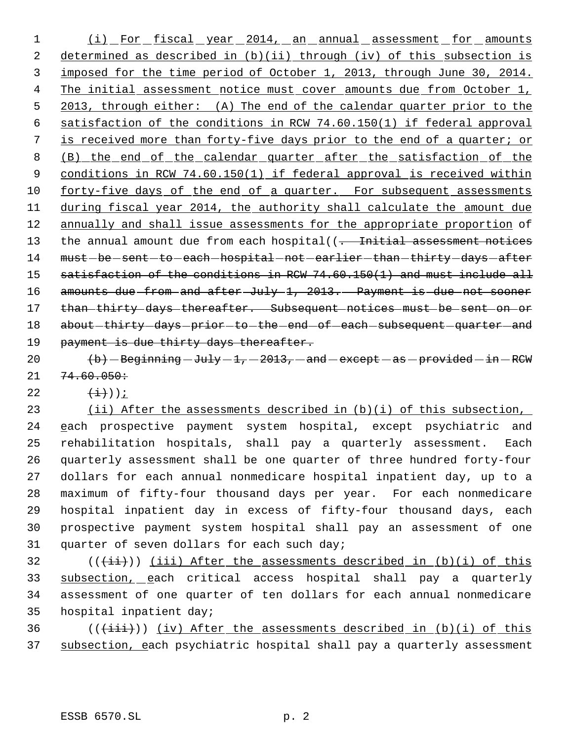1 (i) For fiscal year 2014, an annual assessment for amounts 2 determined as described in (b)(ii) through (iv) of this subsection is 3 imposed for the time period of October 1, 2013, through June 30, 2014. 4 The initial assessment notice must cover amounts due from October 1, 5 2013, through either: (A) The end of the calendar quarter prior to the 6 satisfaction of the conditions in RCW 74.60.150(1) if federal approval 7 is received more than forty-five days prior to the end of a quarter; or 8 (B) the end of the calendar quarter after the satisfaction of the 9 conditions in RCW 74.60.150(1) if federal approval is received within 10 forty-five days of the end of a quarter. For subsequent assessments 11 during fiscal year 2014, the authority shall calculate the amount due 12 annually and shall issue assessments for the appropriate proportion of 13 the annual amount due from each hospital((. Initial assessment notices 14 must-be-sent-to-each-hospital-not-earlier-than-thirty-days-after 15 satisfaction of the conditions in RCW 74.60.150(1) and must include all 16 amounts due from and after July 1, 2013. Payment is due not sooner 17 than thirty days thereafter. Subsequent notices must be sent on or 18 about - thirty - days - prior - to - the - end - of - each - subsequent - quarter - and 19 payment is due thirty days thereafter.

20  $\langle b \rangle$  -Beginning -July -1, -2013, -and -except -as -provided -in -RCW  $21 \quad 74.60.050 \div$ 

22  $(\pm)$ );

23 (ii) After the assessments described in (b)(i) of this subsection, 24 each prospective payment system hospital, except psychiatric and rehabilitation hospitals, shall pay a quarterly assessment. Each quarterly assessment shall be one quarter of three hundred forty-four dollars for each annual nonmedicare hospital inpatient day, up to a maximum of fifty-four thousand days per year. For each nonmedicare hospital inpatient day in excess of fifty-four thousand days, each prospective payment system hospital shall pay an assessment of one quarter of seven dollars for each such day;

 (( $(i+i)$ )) (iii) After the assessments described in (b)(i) of this subsection, each critical access hospital shall pay a quarterly assessment of one quarter of ten dollars for each annual nonmedicare hospital inpatient day;

 $36$  (( $\overleftrightarrow{(\text{iii})}$ )) (iv) After the assessments described in (b)(i) of this 37 subsection, each psychiatric hospital shall pay a quarterly assessment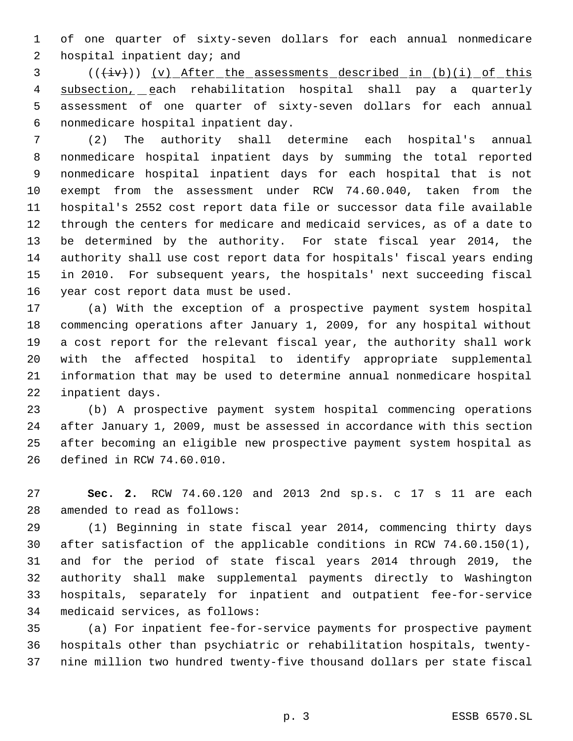of one quarter of sixty-seven dollars for each annual nonmedicare 2 hospital inpatient day; and

3 (( $\frac{div}{)}$ ) (v) After the assessments described in (b)(i) of this 4 subsection, each rehabilitation hospital shall pay a quarterly assessment of one quarter of sixty-seven dollars for each annual nonmedicare hospital inpatient day.

 (2) The authority shall determine each hospital's annual nonmedicare hospital inpatient days by summing the total reported nonmedicare hospital inpatient days for each hospital that is not exempt from the assessment under RCW 74.60.040, taken from the hospital's 2552 cost report data file or successor data file available through the centers for medicare and medicaid services, as of a date to be determined by the authority. For state fiscal year 2014, the authority shall use cost report data for hospitals' fiscal years ending in 2010. For subsequent years, the hospitals' next succeeding fiscal year cost report data must be used.

 (a) With the exception of a prospective payment system hospital commencing operations after January 1, 2009, for any hospital without a cost report for the relevant fiscal year, the authority shall work with the affected hospital to identify appropriate supplemental information that may be used to determine annual nonmedicare hospital inpatient days.

 (b) A prospective payment system hospital commencing operations after January 1, 2009, must be assessed in accordance with this section after becoming an eligible new prospective payment system hospital as defined in RCW 74.60.010.

 **Sec. 2.** RCW 74.60.120 and 2013 2nd sp.s. c 17 s 11 are each amended to read as follows:

 (1) Beginning in state fiscal year 2014, commencing thirty days after satisfaction of the applicable conditions in RCW 74.60.150(1), and for the period of state fiscal years 2014 through 2019, the authority shall make supplemental payments directly to Washington hospitals, separately for inpatient and outpatient fee-for-service medicaid services, as follows:

 (a) For inpatient fee-for-service payments for prospective payment hospitals other than psychiatric or rehabilitation hospitals, twenty-nine million two hundred twenty-five thousand dollars per state fiscal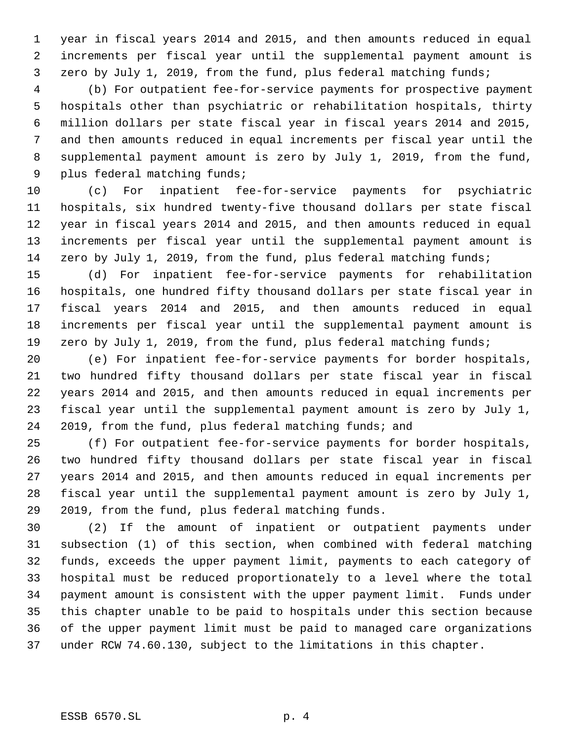year in fiscal years 2014 and 2015, and then amounts reduced in equal increments per fiscal year until the supplemental payment amount is zero by July 1, 2019, from the fund, plus federal matching funds;

 (b) For outpatient fee-for-service payments for prospective payment hospitals other than psychiatric or rehabilitation hospitals, thirty million dollars per state fiscal year in fiscal years 2014 and 2015, and then amounts reduced in equal increments per fiscal year until the supplemental payment amount is zero by July 1, 2019, from the fund, plus federal matching funds;

 (c) For inpatient fee-for-service payments for psychiatric hospitals, six hundred twenty-five thousand dollars per state fiscal year in fiscal years 2014 and 2015, and then amounts reduced in equal increments per fiscal year until the supplemental payment amount is 14 zero by July 1, 2019, from the fund, plus federal matching funds;

 (d) For inpatient fee-for-service payments for rehabilitation hospitals, one hundred fifty thousand dollars per state fiscal year in fiscal years 2014 and 2015, and then amounts reduced in equal increments per fiscal year until the supplemental payment amount is 19 zero by July 1, 2019, from the fund, plus federal matching funds;

 (e) For inpatient fee-for-service payments for border hospitals, two hundred fifty thousand dollars per state fiscal year in fiscal years 2014 and 2015, and then amounts reduced in equal increments per fiscal year until the supplemental payment amount is zero by July 1, 2019, from the fund, plus federal matching funds; and

 (f) For outpatient fee-for-service payments for border hospitals, two hundred fifty thousand dollars per state fiscal year in fiscal years 2014 and 2015, and then amounts reduced in equal increments per fiscal year until the supplemental payment amount is zero by July 1, 2019, from the fund, plus federal matching funds.

 (2) If the amount of inpatient or outpatient payments under subsection (1) of this section, when combined with federal matching funds, exceeds the upper payment limit, payments to each category of hospital must be reduced proportionately to a level where the total payment amount is consistent with the upper payment limit. Funds under this chapter unable to be paid to hospitals under this section because of the upper payment limit must be paid to managed care organizations under RCW 74.60.130, subject to the limitations in this chapter.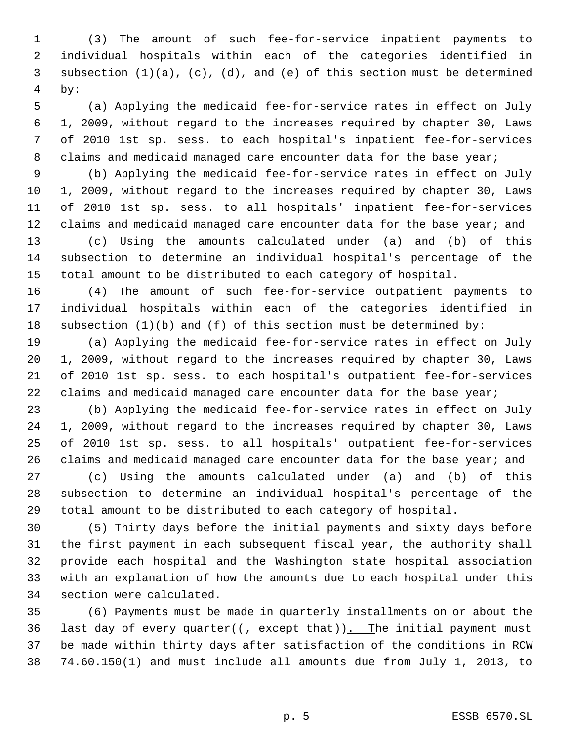(3) The amount of such fee-for-service inpatient payments to individual hospitals within each of the categories identified in subsection (1)(a), (c), (d), and (e) of this section must be determined by:

 (a) Applying the medicaid fee-for-service rates in effect on July 1, 2009, without regard to the increases required by chapter 30, Laws of 2010 1st sp. sess. to each hospital's inpatient fee-for-services 8 claims and medicaid managed care encounter data for the base year;

 (b) Applying the medicaid fee-for-service rates in effect on July 1, 2009, without regard to the increases required by chapter 30, Laws of 2010 1st sp. sess. to all hospitals' inpatient fee-for-services 12 claims and medicaid managed care encounter data for the base year; and

 (c) Using the amounts calculated under (a) and (b) of this subsection to determine an individual hospital's percentage of the total amount to be distributed to each category of hospital.

 (4) The amount of such fee-for-service outpatient payments to individual hospitals within each of the categories identified in subsection (1)(b) and (f) of this section must be determined by:

 (a) Applying the medicaid fee-for-service rates in effect on July 1, 2009, without regard to the increases required by chapter 30, Laws of 2010 1st sp. sess. to each hospital's outpatient fee-for-services 22 claims and medicaid managed care encounter data for the base year;

 (b) Applying the medicaid fee-for-service rates in effect on July 1, 2009, without regard to the increases required by chapter 30, Laws of 2010 1st sp. sess. to all hospitals' outpatient fee-for-services 26 claims and medicaid managed care encounter data for the base year; and

 (c) Using the amounts calculated under (a) and (b) of this subsection to determine an individual hospital's percentage of the total amount to be distributed to each category of hospital.

 (5) Thirty days before the initial payments and sixty days before the first payment in each subsequent fiscal year, the authority shall provide each hospital and the Washington state hospital association with an explanation of how the amounts due to each hospital under this section were calculated.

 (6) Payments must be made in quarterly installments on or about the 36 last day of every quarter( $(\frac{1}{2} + 1)$  that)). The initial payment must be made within thirty days after satisfaction of the conditions in RCW 74.60.150(1) and must include all amounts due from July 1, 2013, to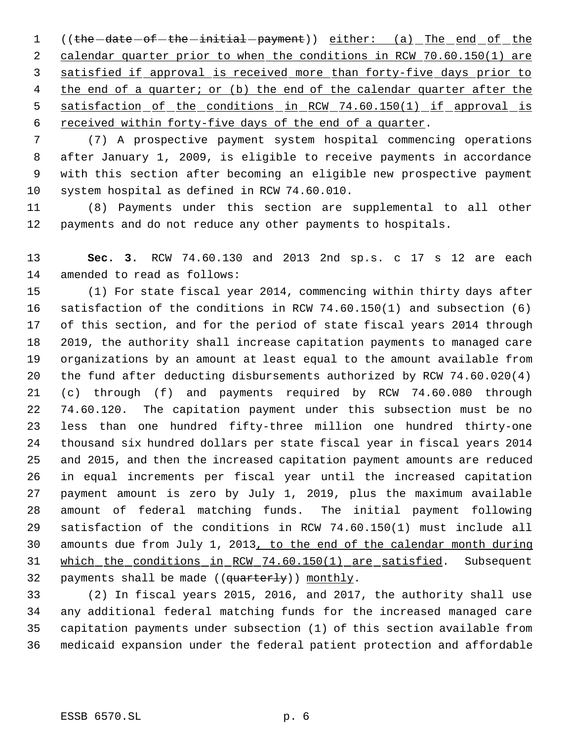1 ((the -date -of -the -initial -payment)) either: (a) The end of the 2 calendar quarter prior to when the conditions in RCW 70.60.150(1) are satisfied if approval is received more than forty-five days prior to 4 the end of a quarter; or (b) the end of the calendar quarter after the 5 satisfaction of the conditions in RCW 74.60.150(1) if approval is received within forty-five days of the end of a quarter.

 (7) A prospective payment system hospital commencing operations after January 1, 2009, is eligible to receive payments in accordance with this section after becoming an eligible new prospective payment system hospital as defined in RCW 74.60.010.

 (8) Payments under this section are supplemental to all other payments and do not reduce any other payments to hospitals.

 **Sec. 3.** RCW 74.60.130 and 2013 2nd sp.s. c 17 s 12 are each amended to read as follows:

 (1) For state fiscal year 2014, commencing within thirty days after satisfaction of the conditions in RCW 74.60.150(1) and subsection (6) of this section, and for the period of state fiscal years 2014 through 2019, the authority shall increase capitation payments to managed care organizations by an amount at least equal to the amount available from the fund after deducting disbursements authorized by RCW 74.60.020(4) (c) through (f) and payments required by RCW 74.60.080 through 74.60.120. The capitation payment under this subsection must be no less than one hundred fifty-three million one hundred thirty-one thousand six hundred dollars per state fiscal year in fiscal years 2014 and 2015, and then the increased capitation payment amounts are reduced in equal increments per fiscal year until the increased capitation payment amount is zero by July 1, 2019, plus the maximum available amount of federal matching funds. The initial payment following satisfaction of the conditions in RCW 74.60.150(1) must include all amounts due from July 1, 2013, to the end of the calendar month during which the conditions in RCW 74.60.150(1) are satisfied. Subsequent 32 payments shall be made  $((quarterly))$  monthly.

 (2) In fiscal years 2015, 2016, and 2017, the authority shall use any additional federal matching funds for the increased managed care capitation payments under subsection (1) of this section available from medicaid expansion under the federal patient protection and affordable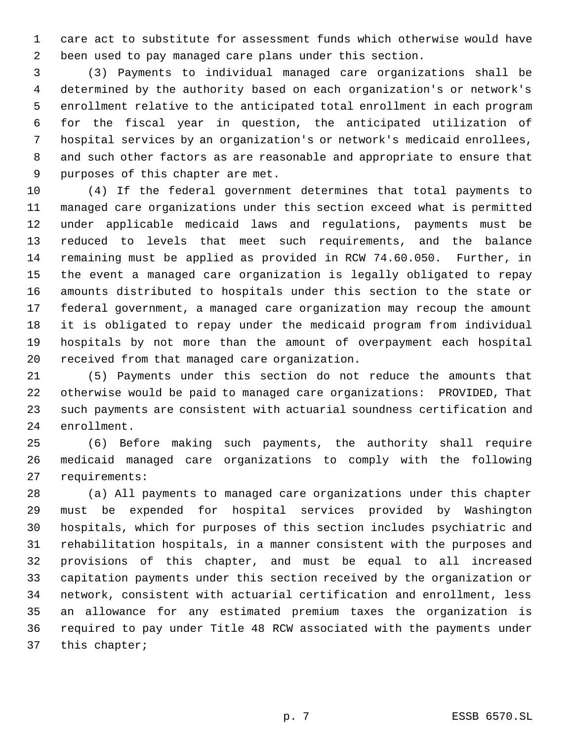care act to substitute for assessment funds which otherwise would have been used to pay managed care plans under this section.

 (3) Payments to individual managed care organizations shall be determined by the authority based on each organization's or network's enrollment relative to the anticipated total enrollment in each program for the fiscal year in question, the anticipated utilization of hospital services by an organization's or network's medicaid enrollees, and such other factors as are reasonable and appropriate to ensure that purposes of this chapter are met.

 (4) If the federal government determines that total payments to managed care organizations under this section exceed what is permitted under applicable medicaid laws and regulations, payments must be reduced to levels that meet such requirements, and the balance remaining must be applied as provided in RCW 74.60.050. Further, in the event a managed care organization is legally obligated to repay amounts distributed to hospitals under this section to the state or federal government, a managed care organization may recoup the amount it is obligated to repay under the medicaid program from individual hospitals by not more than the amount of overpayment each hospital received from that managed care organization.

 (5) Payments under this section do not reduce the amounts that otherwise would be paid to managed care organizations: PROVIDED, That such payments are consistent with actuarial soundness certification and enrollment.

 (6) Before making such payments, the authority shall require medicaid managed care organizations to comply with the following requirements:

 (a) All payments to managed care organizations under this chapter must be expended for hospital services provided by Washington hospitals, which for purposes of this section includes psychiatric and rehabilitation hospitals, in a manner consistent with the purposes and provisions of this chapter, and must be equal to all increased capitation payments under this section received by the organization or network, consistent with actuarial certification and enrollment, less an allowance for any estimated premium taxes the organization is required to pay under Title 48 RCW associated with the payments under this chapter;